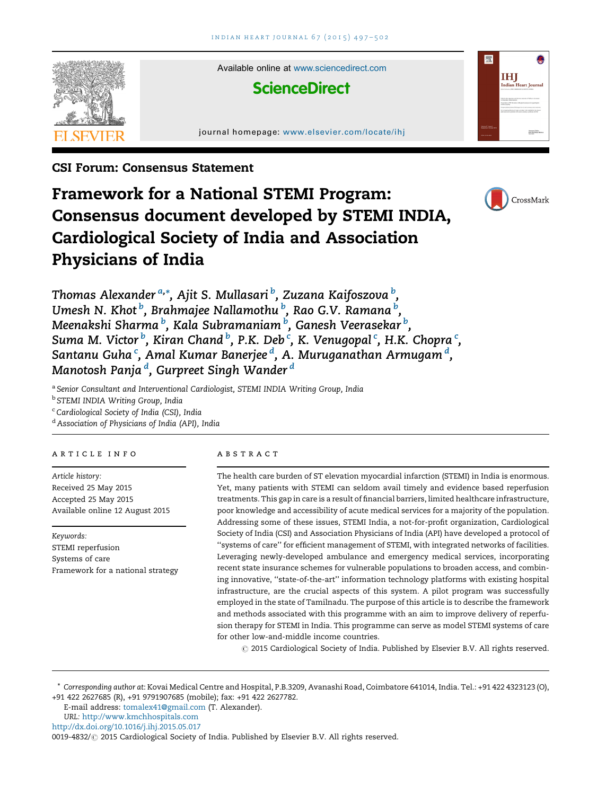

CSI Forum: Consensus Statement

# Framework for a National STEMI Program: Consensus document developed by STEMI INDIA, Cardiological Society of India and Association Physicians of India



Thomas Alexander <sup>a,</sup>\*, Ajit S. Mullasari <sup>b</sup>, Zuzana Kaifoszova <sup>b</sup>, Umesh N. Khot  $^b$ , Brahmajee Nallamothu  $^b$ , Rao G.V. Ramana  $^b$ , Meenakshi Sharma <sup>b</sup>, Kala Subramaniam <sup>b</sup>, Ganesh Veerasekar <sup>b</sup>, Suma M. Victor  $^b$ , Kiran Chand  $^b$ , P.K. Deb  $^c$ , K. Venugopal  $^c$ , H.K. Chopra  $^c$ , Santanu Guha<sup>c</sup>, Amal Kumar Banerjee <sup>d</sup>, A. Muruganathan Armugam <sup>d</sup>, Manotosh Panja'<sup>d</sup>, Gurpreet Singh Wander'<sup>d</sup>

a Senior Consultant and Interventional Cardiologist, STEMI INDIA Writing Group, India

**b STEMI INDIA Writing Group, India** 

<sup>c</sup> Cardiological Society of India (CSI), India

<sup>d</sup> Association of Physicians of India (API), India

#### article info

Article history: Received 25 May 2015 Accepted 25 May 2015 Available online 12 August 2015

Keywords: STEMI reperfusion Systems of care Framework for a national strategy

#### abstract

The health care burden of ST elevation myocardial infarction (STEMI) in India is enormous. Yet, many patients with STEMI can seldom avail timely and evidence based reperfusion treatments. This gap in care is a result of financial barriers, limited healthcare infrastructure, poor knowledge and accessibility of acute medical services for a majority of the population. Addressing some of these issues, STEMI India, a not-for-profit organization, Cardiological Society of India (CSI) and Association Physicians of India (API) have developed a protocol of ''systems of care'' for efficient management of STEMI, with integrated networks of facilities. Leveraging newly-developed ambulance and emergency medical services, incorporating recent state insurance schemes for vulnerable populations to broaden access, and combining innovative, ''state-of-the-art'' information technology platforms with existing hospital infrastructure, are the crucial aspects of this system. A pilot program was successfully employed in the state of Tamilnadu. The purpose of this article is to describe the framework and methods associated with this programme with an aim to improve delivery of reperfusion therapy for STEMI in India. This programme can serve as model STEMI systems of care for other low-and-middle income countries.

 $\odot$  2015 Cardiological Society of India. Published by Elsevier B.V. All rights reserved.

\* Corresponding author at: Kovai Medical Centre and Hospital, P.B.3209, Avanashi Road, Coimbatore 641014, India. Tel.: +91 422 4323123 (O), +91 422 2627685 (R), +91 9791907685 (mobile); fax: +91 422 2627782.

E-mail address: [tomalex41@gmail.com](mailto:tomalex41@gmail.com) (T. Alexander). URL: <http://www.kmchhospitals.com>

<http://dx.doi.org/10.1016/j.ihj.2015.05.017>

<sup>0019-4832/ @ 2015</sup> Cardiological Society of India. Published by Elsevier B.V. All rights reserved.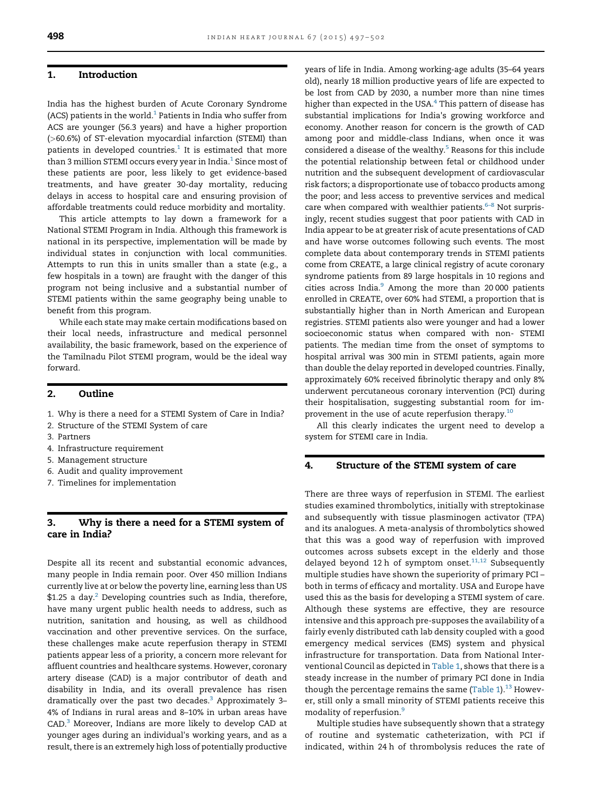# 1. Introduction

India has the highest burden of Acute Coronary Syndrome (ACS) patients in the world. $1$  Patients in India who suffer from ACS are younger (56.3 years) and have a higher proportion (>60.6%) of ST-elevation myocardial infarction (STEMI) than patients in developed countries. $1$  It is estimated that more than 3 million STEMI occurs every year in India. $1$  Since most of these patients are poor, less likely to get evidence-based treatments, and have greater 30-day mortality, reducing delays in access to hospital care and ensuring provision of affordable treatments could reduce morbidity and mortality.

This article attempts to lay down a framework for a National STEMI Program in India. Although this framework is national in its perspective, implementation will be made by individual states in conjunction with local communities. Attempts to run this in units smaller than a state (e.g., a few hospitals in a town) are fraught with the danger of this program not being inclusive and a substantial number of STEMI patients within the same geography being unable to benefit from this program.

While each state may make certain modifications based on their local needs, infrastructure and medical personnel availability, the basic framework, based on the experience of the Tamilnadu Pilot STEMI program, would be the ideal way forward.

#### 2. Outline

- 1. Why is there a need for a STEMI System of Care in India?
- 2. Structure of the STEMI System of care
- 3. Partners
- 4. Infrastructure requirement
- 5. Management structure
- 6. Audit and quality improvement
- 7. Timelines for implementation

# 3. Why is there a need for a STEMI system of care in India?

Despite all its recent and substantial economic advances, many people in India remain poor. Over 450 million Indians currently live at or below the poverty line, earning less than US  $$1.25$  $$1.25$  $$1.25$  a day.<sup>2</sup> Developing countries such as India, therefore, have many urgent public health needs to address, such as nutrition, sanitation and housing, as well as childhood vaccination and other preventive services. On the surface, these challenges make acute reperfusion therapy in STEMI patients appear less of a priority, a concern more relevant for affluent countries and healthcare systems. However, coronary artery disease (CAD) is a major contributor of death and disability in India, and its overall prevalence has risen dramatically over the past two decades. $3$  Approximately 3-4% of Indians in rural areas and 8–10% in urban areas have CAD.[3](#page-5-0) Moreover, Indians are more likely to develop CAD at younger ages during an individual's working years, and as a result, there is an extremely high loss of potentially productive years of life in India. Among working-age adults (35–64 years old), nearly 18 million productive years of life are expected to be lost from CAD by 2030, a number more than nine times higher than expected in the USA.<sup>[4](#page-5-0)</sup> This pattern of disease has substantial implications for India's growing workforce and economy. Another reason for concern is the growth of CAD among poor and middle-class Indians, when once it was considered a disease of the wealthy.<sup>[5](#page-5-0)</sup> Reasons for this include the potential relationship between fetal or childhood under nutrition and the subsequent development of cardiovascular risk factors; a disproportionate use of tobacco products among the poor; and less access to preventive services and medical care when compared with wealthier patients. $6-8$  $6-8$  Not surprisingly, recent studies suggest that poor patients with CAD in India appear to be at greater risk of acute presentations of CAD and have worse outcomes following such events. The most complete data about contemporary trends in STEMI patients come from CREATE, a large clinical registry of acute coronary syndrome patients from 89 large hospitals in 10 regions and cities across India. $9$  Among the more than 20 000 patients enrolled in CREATE, over 60% had STEMI, a proportion that is substantially higher than in North American and European registries. STEMI patients also were younger and had a lower socioeconomic status when compared with non- STEMI patients. The median time from the onset of symptoms to hospital arrival was 300 min in STEMI patients, again more than double the delay reported in developed countries. Finally, approximately 60% received fibrinolytic therapy and only 8% underwent percutaneous coronary intervention (PCI) during their hospitalisation, suggesting substantial room for im-provement in the use of acute reperfusion therapy.<sup>[10](#page-5-0)</sup>

All this clearly indicates the urgent need to develop a system for STEMI care in India.

#### 4. Structure of the STEMI system of care

There are three ways of reperfusion in STEMI. The earliest studies examined thrombolytics, initially with streptokinase and subsequently with tissue plasminogen activator (TPA) and its analogues. A meta-analysis of thrombolytics showed that this was a good way of reperfusion with improved outcomes across subsets except in the elderly and those delayed beyond 12 h of symptom onset. $11,12$  Subsequently multiple studies have shown the superiority of primary PCI – both in terms of efficacy and mortality. USA and Europe have used this as the basis for developing a STEMI system of care. Although these systems are effective, they are resource intensive and this approach pre-supposes the availability of a fairly evenly distributed cath lab density coupled with a good emergency medical services (EMS) system and physical infrastructure for transportation. Data from National Interventional Council as depicted in [Table 1](#page-2-0), shows that there is a steady increase in the number of primary PCI done in India though the percentage remains the same ([Table 1](#page-2-0)). $^{13}$  $^{13}$  $^{13}$  However, still only a small minority of STEMI patients receive this modality of reperfusion.[9](#page-5-0)

Multiple studies have subsequently shown that a strategy of routine and systematic catheterization, with PCI if indicated, within 24 h of thrombolysis reduces the rate of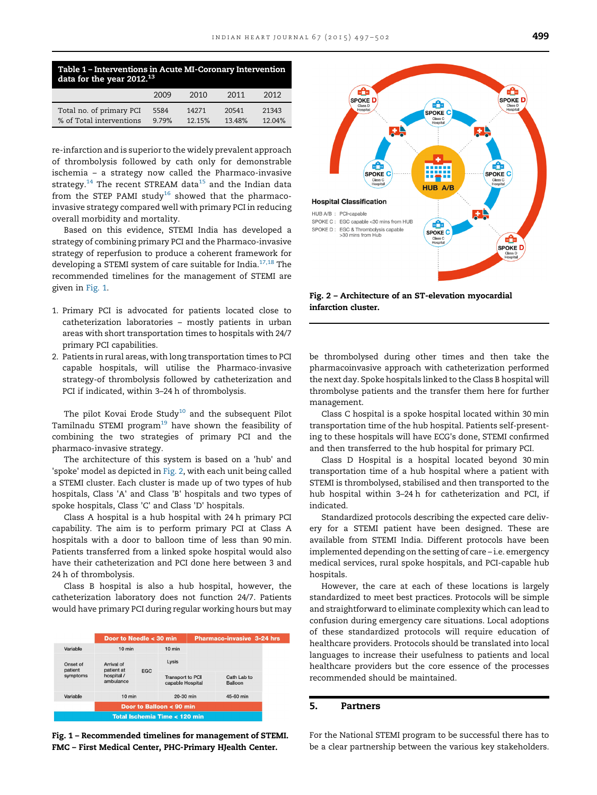<span id="page-2-0"></span>

| Table 1 - Interventions in Acute MI-Coronary Intervention<br>data for the year $2012.^{13}$ |       |        |        |        |  |  |  |  |  |  |  |  |
|---------------------------------------------------------------------------------------------|-------|--------|--------|--------|--|--|--|--|--|--|--|--|
|                                                                                             | 2009  | 2010   | 2011   | 2012   |  |  |  |  |  |  |  |  |
| Total no. of primary PCI                                                                    | 5584  | 14271  | 20541  | 21343  |  |  |  |  |  |  |  |  |
| % of Total interventions                                                                    | 9.79% | 12.15% | 13.48% | 12.04% |  |  |  |  |  |  |  |  |

re-infarction and is superior to the widely prevalent approach of thrombolysis followed by cath only for demonstrable ischemia – a strategy now called the Pharmaco-invasive strategy.<sup>[14](#page-5-0)</sup> The recent STREAM data<sup>[15](#page-5-0)</sup> and the Indian data from the STEP PAMI study<sup>[16](#page-5-0)</sup> showed that the pharmacoinvasive strategy compared well with primary PCI in reducing overall morbidity and mortality.

Based on this evidence, STEMI India has developed a strategy of combining primary PCI and the Pharmaco-invasive strategy of reperfusion to produce a coherent framework for developing a STEMI system of care suitable for India. $17,18$  The recommended timelines for the management of STEMI are given in Fig. 1.

- 1. Primary PCI is advocated for patients located close to catheterization laboratories – mostly patients in urban areas with short transportation times to hospitals with 24/7 primary PCI capabilities.
- 2. Patients in rural areas, with long transportation times to PCI capable hospitals, will utilise the Pharmaco-invasive strategy-of thrombolysis followed by catheterization and PCI if indicated, within 3–24 h of thrombolysis.

The pilot Kovai Erode Study<sup>[10](#page-5-0)</sup> and the subsequent Pilot Tamilnadu STEMI program $19$  have shown the feasibility of combining the two strategies of primary PCI and the pharmaco-invasive strategy.

The architecture of this system is based on a 'hub' and 'spoke' model as depicted in Fig. 2, with each unit being called a STEMI cluster. Each cluster is made up of two types of hub hospitals, Class 'A' and Class 'B' hospitals and two types of spoke hospitals, Class 'C' and Class 'D' hospitals.

Class A hospital is a hub hospital with 24 h primary PCI capability. The aim is to perform primary PCI at Class A hospitals with a door to balloon time of less than 90 min. Patients transferred from a linked spoke hospital would also have their catheterization and PCI done here between 3 and 24 h of thrombolysis.

Class B hospital is also a hub hospital, however, the catheterization laboratory does not function 24/7. Patients would have primary PCI during regular working hours but may



Fig. 1 – Recommended timelines for management of STEMI. FMC – First Medical Center, PHC-Primary HJealth Center.



Fig. 2 – Architecture of an ST-elevation myocardial infarction cluster.

be thrombolysed during other times and then take the pharmacoinvasive approach with catheterization performed the next day. Spoke hospitals linked to the Class B hospital will thrombolyse patients and the transfer them here for further management.

Class C hospital is a spoke hospital located within 30 min transportation time of the hub hospital. Patients self-presenting to these hospitals will have ECG's done, STEMI confirmed and then transferred to the hub hospital for primary PCI.

Class D Hospital is a hospital located beyond 30 min transportation time of a hub hospital where a patient with STEMI is thrombolysed, stabilised and then transported to the hub hospital within 3–24 h for catheterization and PCI, if indicated.

Standardized protocols describing the expected care delivery for a STEMI patient have been designed. These are available from STEMI India. Different protocols have been implemented depending on the setting of care – i.e. emergency medical services, rural spoke hospitals, and PCI-capable hub hospitals.

However, the care at each of these locations is largely standardized to meet best practices. Protocols will be simple and straightforward to eliminate complexity which can lead to confusion during emergency care situations. Local adoptions of these standardized protocols will require education of healthcare providers. Protocols should be translated into local languages to increase their usefulness to patients and local healthcare providers but the core essence of the processes recommended should be maintained.

# 5. Partners

For the National STEMI program to be successful there has to be a clear partnership between the various key stakeholders.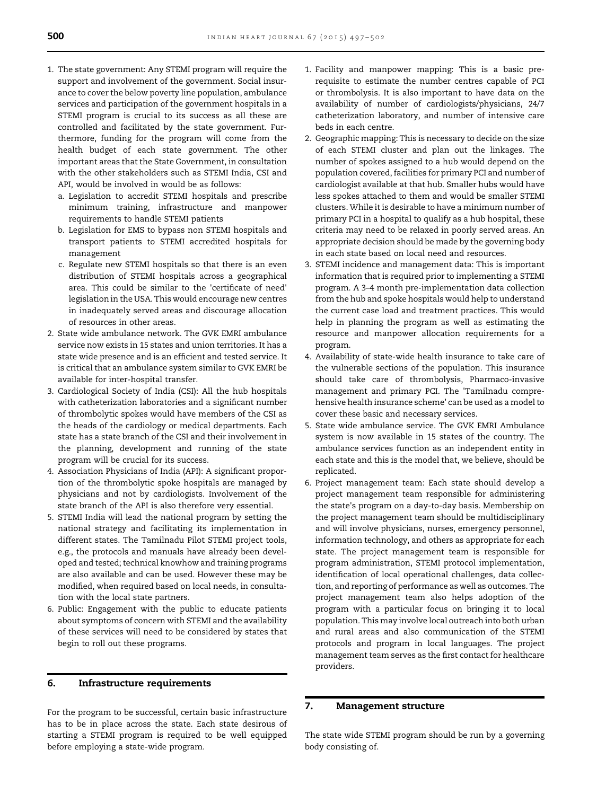- 1. The state government: Any STEMI program will require the support and involvement of the government. Social insurance to cover the below poverty line population, ambulance services and participation of the government hospitals in a STEMI program is crucial to its success as all these are controlled and facilitated by the state government. Furthermore, funding for the program will come from the health budget of each state government. The other important areas that the State Government, in consultation with the other stakeholders such as STEMI India, CSI and API, would be involved in would be as follows:
	- a. Legislation to accredit STEMI hospitals and prescribe minimum training, infrastructure and manpower requirements to handle STEMI patients
	- b. Legislation for EMS to bypass non STEMI hospitals and transport patients to STEMI accredited hospitals for management
	- c. Regulate new STEMI hospitals so that there is an even distribution of STEMI hospitals across a geographical area. This could be similar to the 'certificate of need' legislation in the USA. This would encourage new centres in inadequately served areas and discourage allocation of resources in other areas.
- 2. State wide ambulance network. The GVK EMRI ambulance service now exists in 15 states and union territories. It has a state wide presence and is an efficient and tested service. It is critical that an ambulance system similar to GVK EMRI be available for inter-hospital transfer.
- 3. Cardiological Society of India (CSI): All the hub hospitals with catheterization laboratories and a significant number of thrombolytic spokes would have members of the CSI as the heads of the cardiology or medical departments. Each state has a state branch of the CSI and their involvement in the planning, development and running of the state program will be crucial for its success.
- 4. Association Physicians of India (API): A significant proportion of the thrombolytic spoke hospitals are managed by physicians and not by cardiologists. Involvement of the state branch of the API is also therefore very essential.
- 5. STEMI India will lead the national program by setting the national strategy and facilitating its implementation in different states. The Tamilnadu Pilot STEMI project tools, e.g., the protocols and manuals have already been developed and tested; technical knowhow and training programs are also available and can be used. However these may be modified, when required based on local needs, in consultation with the local state partners.
- 6. Public: Engagement with the public to educate patients about symptoms of concern with STEMI and the availability of these services will need to be considered by states that begin to roll out these programs.

# 6. Infrastructure requirements

For the program to be successful, certain basic infrastructure has to be in place across the state. Each state desirous of starting a STEMI program is required to be well equipped before employing a state-wide program.

- 1. Facility and manpower mapping: This is a basic prerequisite to estimate the number centres capable of PCI or thrombolysis. It is also important to have data on the availability of number of cardiologists/physicians, 24/7 catheterization laboratory, and number of intensive care beds in each centre.
- 2. Geographic mapping: This is necessary to decide on the size of each STEMI cluster and plan out the linkages. The number of spokes assigned to a hub would depend on the population covered, facilities for primary PCI and number of cardiologist available at that hub. Smaller hubs would have less spokes attached to them and would be smaller STEMI clusters. While it is desirable to have a minimum number of primary PCI in a hospital to qualify as a hub hospital, these criteria may need to be relaxed in poorly served areas. An appropriate decision should be made by the governing body in each state based on local need and resources.
- 3. STEMI incidence and management data: This is important information that is required prior to implementing a STEMI program. A 3–4 month pre-implementation data collection from the hub and spoke hospitals would help to understand the current case load and treatment practices. This would help in planning the program as well as estimating the resource and manpower allocation requirements for a program.
- 4. Availability of state-wide health insurance to take care of the vulnerable sections of the population. This insurance should take care of thrombolysis, Pharmaco-invasive management and primary PCI. The 'Tamilnadu comprehensive health insurance scheme' can be used as a model to cover these basic and necessary services.
- 5. State wide ambulance service. The GVK EMRI Ambulance system is now available in 15 states of the country. The ambulance services function as an independent entity in each state and this is the model that, we believe, should be replicated.
- 6. Project management team: Each state should develop a project management team responsible for administering the state's program on a day-to-day basis. Membership on the project management team should be multidisciplinary and will involve physicians, nurses, emergency personnel, information technology, and others as appropriate for each state. The project management team is responsible for program administration, STEMI protocol implementation, identification of local operational challenges, data collection, and reporting of performance as well as outcomes. The project management team also helps adoption of the program with a particular focus on bringing it to local population. This may involve local outreach into both urban and rural areas and also communication of the STEMI protocols and program in local languages. The project management team serves as the first contact for healthcare providers.

# 7. Management structure

The state wide STEMI program should be run by a governing body consisting of.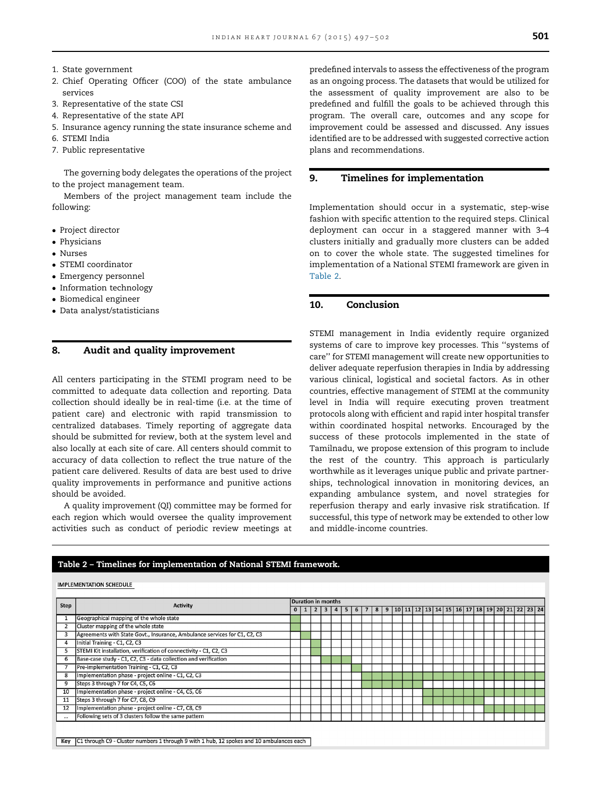- 1. State government
- 2. Chief Operating Officer (COO) of the state ambulance services
- 3. Representative of the state CSI
- 4. Representative of the state API
- 5. Insurance agency running the state insurance scheme and
- 6. STEMI India
- 7. Public representative

The governing body delegates the operations of the project to the project management team.

Members of the project management team include the following:

- Project director
- Physicians
- Nurses
- STEMI coordinator
- Emergency personnel
- Information technology
- Biomedical engineer
- Data analyst/statisticians

#### 8. Audit and quality improvement

All centers participating in the STEMI program need to be committed to adequate data collection and reporting. Data collection should ideally be in real-time (i.e. at the time of patient care) and electronic with rapid transmission to centralized databases. Timely reporting of aggregate data should be submitted for review, both at the system level and also locally at each site of care. All centers should commit to accuracy of data collection to reflect the true nature of the patient care delivered. Results of data are best used to drive quality improvements in performance and punitive actions should be avoided.

A quality improvement (QI) committee may be formed for each region which would oversee the quality improvement activities such as conduct of periodic review meetings at predefined intervals to assess the effectiveness of the program as an ongoing process. The datasets that would be utilized for the assessment of quality improvement are also to be predefined and fulfill the goals to be achieved through this program. The overall care, outcomes and any scope for improvement could be assessed and discussed. Any issues identified are to be addressed with suggested corrective action plans and recommendations.

#### 9. Timelines for implementation

Implementation should occur in a systematic, step-wise fashion with specific attention to the required steps. Clinical deployment can occur in a staggered manner with 3–4 clusters initially and gradually more clusters can be added on to cover the whole state. The suggested timelines for implementation of a National STEMI framework are given in Table 2.

#### 10. Conclusion

STEMI management in India evidently require organized systems of care to improve key processes. This ''systems of care'' for STEMI management will create new opportunities to deliver adequate reperfusion therapies in India by addressing various clinical, logistical and societal factors. As in other countries, effective management of STEMI at the community level in India will require executing proven treatment protocols along with efficient and rapid inter hospital transfer within coordinated hospital networks. Encouraged by the success of these protocols implemented in the state of Tamilnadu, we propose extension of this program to include the rest of the country. This approach is particularly worthwhile as it leverages unique public and private partnerships, technological innovation in monitoring devices, an expanding ambulance system, and novel strategies for reperfusion therapy and early invasive risk stratification. If successful, this type of network may be extended to other low and middle-income countries.

|      |                                                                           |          |                 | Duration in months |                |                |   |            |   |  |  |                                                                              |  |  |  |  |  |  |  |
|------|---------------------------------------------------------------------------|----------|-----------------|--------------------|----------------|----------------|---|------------|---|--|--|------------------------------------------------------------------------------|--|--|--|--|--|--|--|
| Step | <b>Activity</b>                                                           | $\Omega$ | $1\vert 2\vert$ | 3 <sup>1</sup>     | $\overline{4}$ | 5 <sub>1</sub> | 6 | $\cdot$ 7. | 8 |  |  | 9   10   11   12   13   14   15   16   17   18   19   20   21   22   23   24 |  |  |  |  |  |  |  |
|      | Geographical mapping of the whole state                                   |          |                 |                    |                |                |   |            |   |  |  |                                                                              |  |  |  |  |  |  |  |
|      | Cluster mapping of the whole state                                        |          |                 |                    |                |                |   |            |   |  |  |                                                                              |  |  |  |  |  |  |  |
| 3    | Agreements with State Govt., Insurance, Ambulance services for C1, C2, C3 |          |                 |                    |                |                |   |            |   |  |  |                                                                              |  |  |  |  |  |  |  |
| 4    | Initial Training - C1, C2, C3                                             |          |                 |                    |                |                |   |            |   |  |  |                                                                              |  |  |  |  |  |  |  |
| 5    | STEMI Kit installation, verification of connectivity - C1, C2, C3         |          |                 |                    |                |                |   |            |   |  |  |                                                                              |  |  |  |  |  |  |  |
| 6    | Base-case study - C1, C2, C3 - data collection and verification           |          |                 |                    |                |                |   |            |   |  |  |                                                                              |  |  |  |  |  |  |  |
|      | Pre-implementation Training - C1, C2, C3                                  |          |                 |                    |                |                |   |            |   |  |  |                                                                              |  |  |  |  |  |  |  |
| 8    | Implementation phase - project online - C1, C2, C3                        |          |                 |                    |                |                |   |            |   |  |  |                                                                              |  |  |  |  |  |  |  |
| 9    | Steps 3 through 7 for C4, C5, C6                                          |          |                 |                    |                |                |   |            |   |  |  |                                                                              |  |  |  |  |  |  |  |
| 10   | Implementation phase - project online - C4, C5, C6                        |          |                 |                    |                |                |   |            |   |  |  |                                                                              |  |  |  |  |  |  |  |
| 11   | Steps 3 through 7 for C7, C8, C9                                          |          |                 |                    |                |                |   |            |   |  |  |                                                                              |  |  |  |  |  |  |  |
| 12   | Implementation phase - project online - C7, C8, C9                        |          |                 |                    |                |                |   |            |   |  |  |                                                                              |  |  |  |  |  |  |  |
|      | Following sets of 3 clusters follow the same pattern                      |          |                 |                    |                |                |   |            |   |  |  |                                                                              |  |  |  |  |  |  |  |